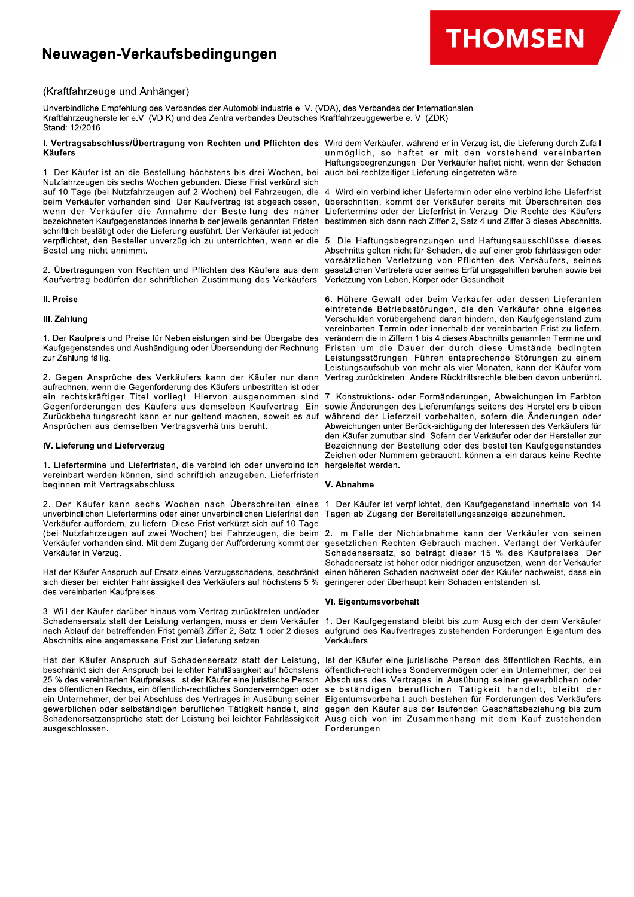# Neuwagen-Verkaufsbedingungen



# (Kraftfahrzeuge und Anhänger)

Unverbindliche Empfehlung des Verbandes der Automobilindustrie e. V. (VDA), des Verbandes der Internationalen Kraftfahrzeughersteller e.V. (VDIK) und des Zentralverbandes Deutsches Kraftfahrzeuggewerbe e. V. (ZDK) Stand: 12/2016

#### I. Vertragsabschluss/Übertragung von Rechten und Pflichten des Wird dem Verkäufer, während er in Verzug ist, die Lieferung durch Zufall **Käufers**

1. Der Käufer ist an die Bestellung höchstens bis drei Wochen, bei Nutzfahrzeugen bis sechs Wochen gebunden. Diese Frist verkürzt sich auf 10 Tage (bei Nutzfahrzeugen auf 2 Wochen) bei Fahrzeugen, die beim Verkäufer vorhanden sind. Der Kaufvertrag ist abgeschlossen, wenn der Verkäufer die Annahme der Bestellung des näher bezeichneten Kaufgegenstandes innerhalb der jeweils genannten Fristen schriftlich bestätigt oder die Lieferung ausführt. Der Verkäufer ist jedoch verpflichtet, den Besteller unverzüglich zu unterrichten, wenn er die Bestellung nicht annimmt.

2. Übertragungen von Rechten und Pflichten des Käufers aus dem Kaufvertrag bedürfen der schriftlichen Zustimmung des Verkäufers.

# II. Preise

# III. Zahlung

1. Der Kaufpreis und Preise für Nebenleistungen sind bei Übergabe des Kaufgegenstandes und Aushändigung oder Übersendung der Rechnung zur Zahlung fällig.

2. Gegen Ansprüche des Verkäufers kann der Käufer nur dann aufrechnen, wenn die Gegenforderung des Käufers unbestritten ist oder ein rechtskräftiger Titel vorliegt. Hiervon ausgenommen sind Gegenforderungen des Käufers aus demselben Kaufvertrag. Ein Zurückbehaltungsrecht kann er nur geltend machen, soweit es auf Ansprüchen aus demselben Vertragsverhältnis beruht.

#### IV. Lieferung und Lieferverzug

1. Liefertermine und Lieferfristen, die verbindlich oder unverbindlich vereinbart werden können, sind schriftlich anzugeben. Lieferfristen beginnen mit Vertragsabschluss.

unverbindlichen Liefertermins oder einer unverbindlichen Lieferfrist den Verkäufer auffordern, zu liefern. Diese Frist verkürzt sich auf 10 Tage (bei Nutzfahrzeugen auf zwei Wochen) bei Fahrzeugen, die beim Verkäufer vorhanden sind. Mit dem Zugang der Aufforderung kommt der Verkäufer in Verzug.

sich dieser bei leichter Fahrlässigkeit des Verkäufers auf höchstens 5 % des vereinbarten Kaufpreises.

3. Will der Käufer darüber hinaus vom Vertrag zurücktreten und/oder Schadensersatz statt der Leistung verlangen, muss er dem Verkäufer 1. Der Kaufgegenstand bleibt bis zum Ausgleich der dem Verkäufer nach Ablauf der betreffenden Frist gemäß Ziffer 2, Satz 1 oder 2 dieses Abschnitts eine angemessene Frist zur Lieferung setzen.

Hat der Käufer Anspruch auf Schadensersatz statt der Leistung, Ist der Käufer eine juristische Person des öffentlichen Rechts, ein beschrankt sich der Anspruch bei leichter Fahrlässigkeit auf höchstens 25 % des vereinbarten Kaufpreises. Ist der Käufer eine juristische Person des öffentlichen Rechts, ein öffentlich-rechtliches Sondervermögen oder ein Unternehmer, der bei Abschluss des Vertrages in Ausübung seiner gewerblichen oder selbständigen beruflichen Tätigkeit handelt, sind Schadenersatzansprüche statt der Leistung bei leichter Fahrlässigkeit ausgeschlossen

unmöglich, so haftet er mit den vorstehend vereinbarten Haftungsbegrenzungen. Der Verkäufer haftet nicht, wenn der Schaden auch bei rechtzeitiger Lieferung eingetreten wäre.

4. Wird ein verbindlicher Liefertermin oder eine verbindliche Lieferfrist überschritten, kommt der Verkäufer bereits mit Überschreiten des Liefertermins oder der Lieferfrist in Verzug. Die Rechte des Käufers bestimmen sich dann nach Ziffer 2, Satz 4 und Ziffer 3 dieses Abschnitts.

5. Die Haftungsbegrenzungen und Haftungsausschlüsse dieses Abschnitts gelten nicht für Schäden, die auf einer grob fahrlässigen oder vorsätzlichen Verletzung von Pflichten des Verkäufers, seines gesetzlichen Vertreters oder seines Erfüllungsgehilfen beruhen sowie bei Verletzung von Leben, Körper oder Gesundheit.

6. Höhere Gewalt oder beim Verkäufer oder dessen Lieferanten eintretende Betriebsstörungen, die den Verkäufer ohne eigenes Verschulden vorübergehend daran hindern, den Kaufgegenstand zum vereinbarten Termin oder innerhalb der vereinbarten Frist zu liefern, verändern die in Ziffern 1 bis 4 dieses Abschnitts genannten Termine und Fristen um die Dauer der durch diese Umstände bedingten Leistungsstörungen. Führen entsprechende Störungen zu einem Leistungsaufschub von mehr als vier Monaten, kann der Käufer vom Vertrag zurücktreten. Andere Rücktrittsrechte bleiben davon unberührt.

7. Konstruktions- oder Formänderungen, Abweichungen im Farbton sowie Änderungen des Lieferumfangs seitens des Herstellers bleiben während der Lieferzeit vorbehalten, sofern die Änderungen oder Abweichungen unter Berück-sichtigung der Interessen des Verkäufers für den Käufer zumutbar sind. Sofern der Verkäufer oder der Hersteller zur Bezeichnung der Bestellung oder des bestellten Kaufgegenstandes Zeichen oder Nummern gebraucht, können allein daraus keine Rechte hergeleitet werden.

# V. Abnahme

2. Der Käufer kann sechs Wochen nach Überschreiten eines 1. Der Käufer ist verpflichtet, den Kaufgegenstand innerhalb von 14 Tagen ab Zugang der Bereitstellungsanzeige abzunehmen.

2. Im Falle der Nichtabnahme kann der Verkäufer von seinen gesetzlichen Rechten Gebrauch machen. Verlangt der Verkäufer Schadensersatz, so beträgt dieser 15 % des Kaufpreises. Der Schadenersatz ist höher oder niedriger anzusetzen, wenn der Verkäufer Hat der Käufer Anspruch auf Ersatz eines Verzugsschadens, beschränkt einen höheren Schaden nachweist oder der Käufer nachweist, dass ein geringerer oder überhaupt kein Schaden entstanden ist.

# VI. Eigentumsvorbehalt

aufgrund des Kaufvertrages zustehenden Forderungen Eigentum des Verkäufers.

öffentlich-rechtliches Sondervermögen oder ein Unternehmer, der bei Abschluss des Vertrages in Ausübung seiner gewerblichen oder selbständigen beruflichen Tätigkeit handelt, bleibt der Eigentumsvorbehalt auch bestehen für Forderungen des Verkäufers gegen den Käufer aus der laufenden Geschäftsbeziehung bis zum Ausgleich von im Zusammenhang mit dem Kauf zustehenden Forderungen.